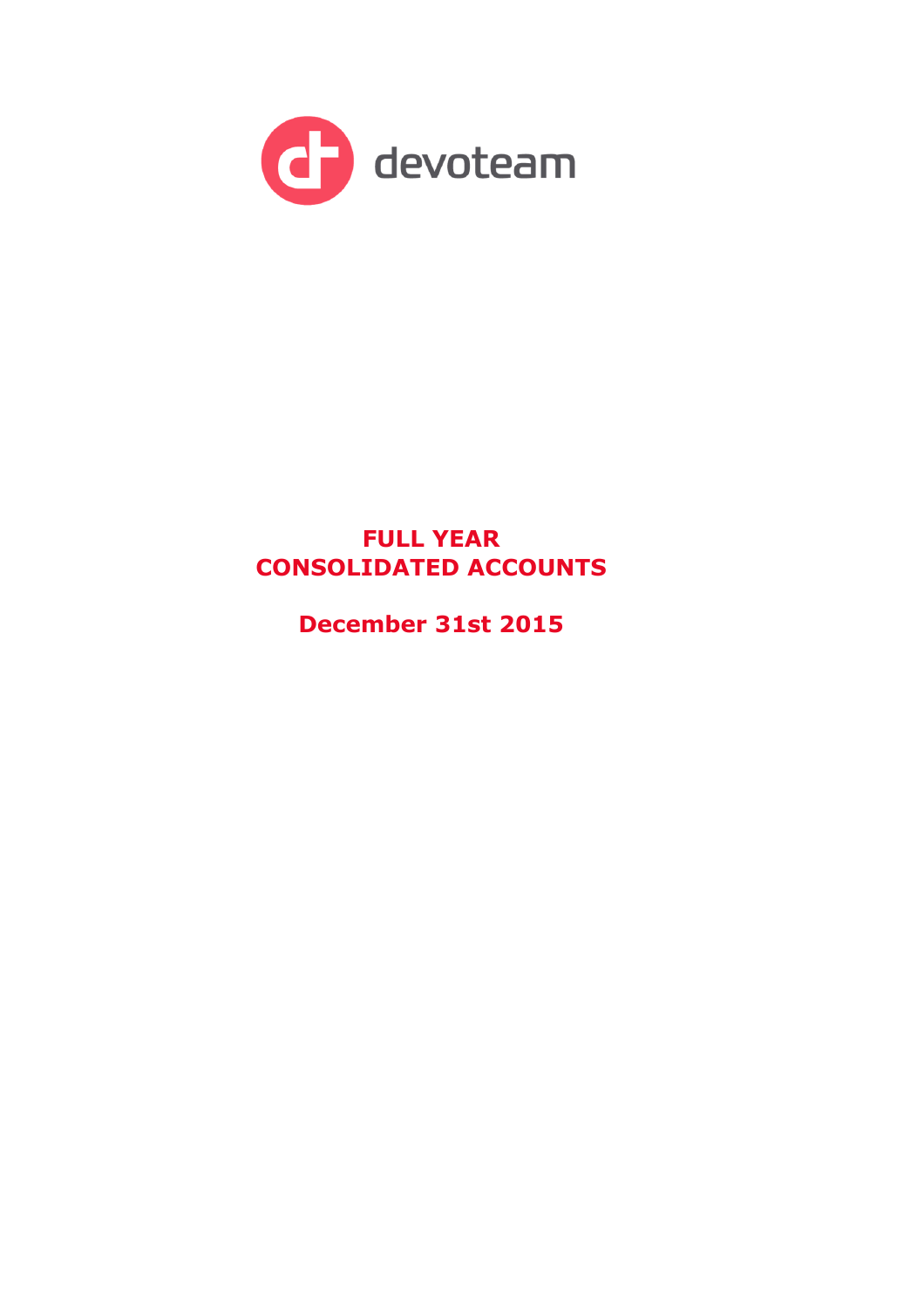

# **FULL YEAR CONSOLIDATED ACCOUNTS**

**December 31st 2015**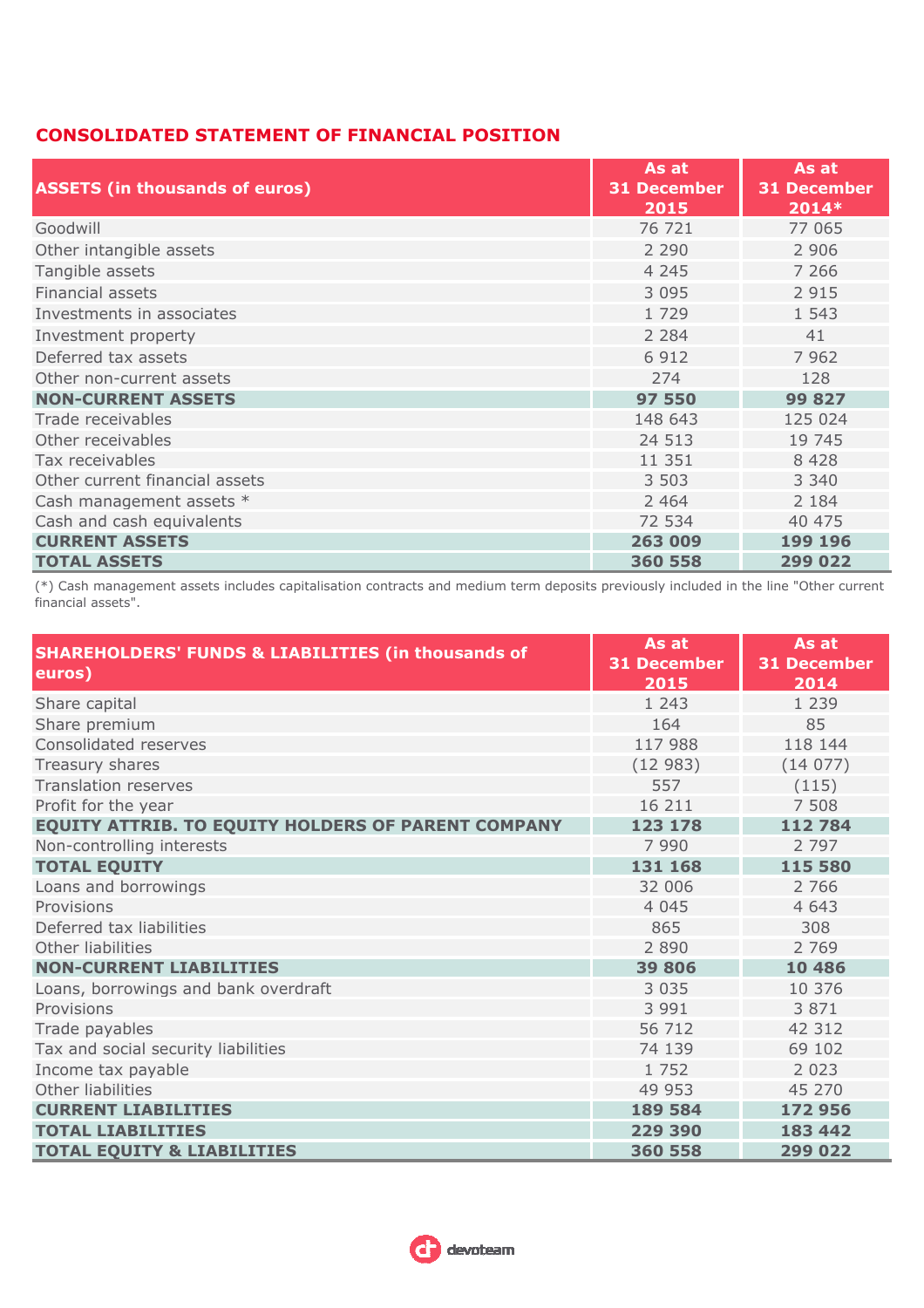### **CONSOLIDATED STATEMENT OF FINANCIAL POSITION**

| <b>ASSETS (in thousands of euros)</b> | As at<br><b>31 December</b><br>2015 | As at<br><b>31 December</b><br>$2014*$ |
|---------------------------------------|-------------------------------------|----------------------------------------|
| Goodwill                              | 76 721                              | 77 065                                 |
| Other intangible assets               | 2 2 9 0                             | 2 9 0 6                                |
| Tangible assets                       | 4 2 4 5                             | 7 2 6 6                                |
| <b>Financial assets</b>               | 3 0 9 5                             | 2 9 1 5                                |
| Investments in associates             | 1 7 2 9                             | 1 5 4 3                                |
| Investment property                   | 2 2 8 4                             | 41                                     |
| Deferred tax assets                   | 6 9 1 2                             | 7 9 6 2                                |
| Other non-current assets              | 274                                 | 128                                    |
| <b>NON-CURRENT ASSETS</b>             | 97 550                              | 99 827                                 |
| Trade receivables                     | 148 643                             | 125 024                                |
| Other receivables                     | 24 513                              | 19 745                                 |
| Tax receivables                       | 11 351                              | 8 4 2 8                                |
| Other current financial assets        | 3 5 0 3                             | 3 3 4 0                                |
| Cash management assets *              | 2 4 6 4                             | 2 1 8 4                                |
| Cash and cash equivalents             | 72 534                              | 40 475                                 |
| <b>CURRENT ASSETS</b>                 | 263 009                             | 199 196                                |
| <b>TOTAL ASSETS</b>                   | 360 558                             | 299 022                                |

(\*) Cash management assets includes capitalisation contracts and medium term deposits previously included in the line "Other current financial assets".

| <b>SHAREHOLDERS' FUNDS &amp; LIABILITIES (in thousands of</b><br>euros) | As at<br><b>31 December</b><br>2015 | As at<br><b>31 December</b><br>2014 |
|-------------------------------------------------------------------------|-------------------------------------|-------------------------------------|
| Share capital                                                           | 1 2 4 3                             | 1 2 3 9                             |
| Share premium                                                           | 164                                 | 85                                  |
| Consolidated reserves                                                   | 117 988                             | 118 144                             |
| Treasury shares                                                         | (12983)                             | (14077)                             |
| <b>Translation reserves</b>                                             | 557                                 | (115)                               |
| Profit for the year                                                     | 16 211                              | 7 5 0 8                             |
| <b>EQUITY ATTRIB. TO EQUITY HOLDERS OF PARENT COMPANY</b>               | 123 178                             | 112 784                             |
| Non-controlling interests                                               | 7 9 9 0                             | 2 7 9 7                             |
| <b>TOTAL EQUITY</b>                                                     | 131 168                             | 115 580                             |
| Loans and borrowings                                                    | 32 006                              | 2 7 6 6                             |
| Provisions                                                              | 4 0 4 5                             | 4 643                               |
| Deferred tax liabilities                                                | 865                                 | 308                                 |
| Other liabilities                                                       | 2 8 9 0                             | 2 7 6 9                             |
| <b>NON-CURRENT LIABILITIES</b>                                          | 39 806                              | 10 4 8 6                            |
| Loans, borrowings and bank overdraft                                    | 3 0 3 5                             | 10 376                              |
| Provisions                                                              | 3 9 9 1                             | 3 8 7 1                             |
| Trade payables                                                          | 56 712                              | 42 312                              |
| Tax and social security liabilities                                     | 74 139                              | 69 102                              |
| Income tax payable                                                      | 1 7 5 2                             | 2 0 2 3                             |
| Other liabilities                                                       | 49 953                              | 45 270                              |
| <b>CURRENT LIABILITIES</b>                                              | 189 584                             | 172 956                             |
| <b>TOTAL LIABILITIES</b>                                                | 229 390                             | 183 442                             |
| <b>TOTAL EQUITY &amp; LIABILITIES</b>                                   | 360 558                             | 299 022                             |

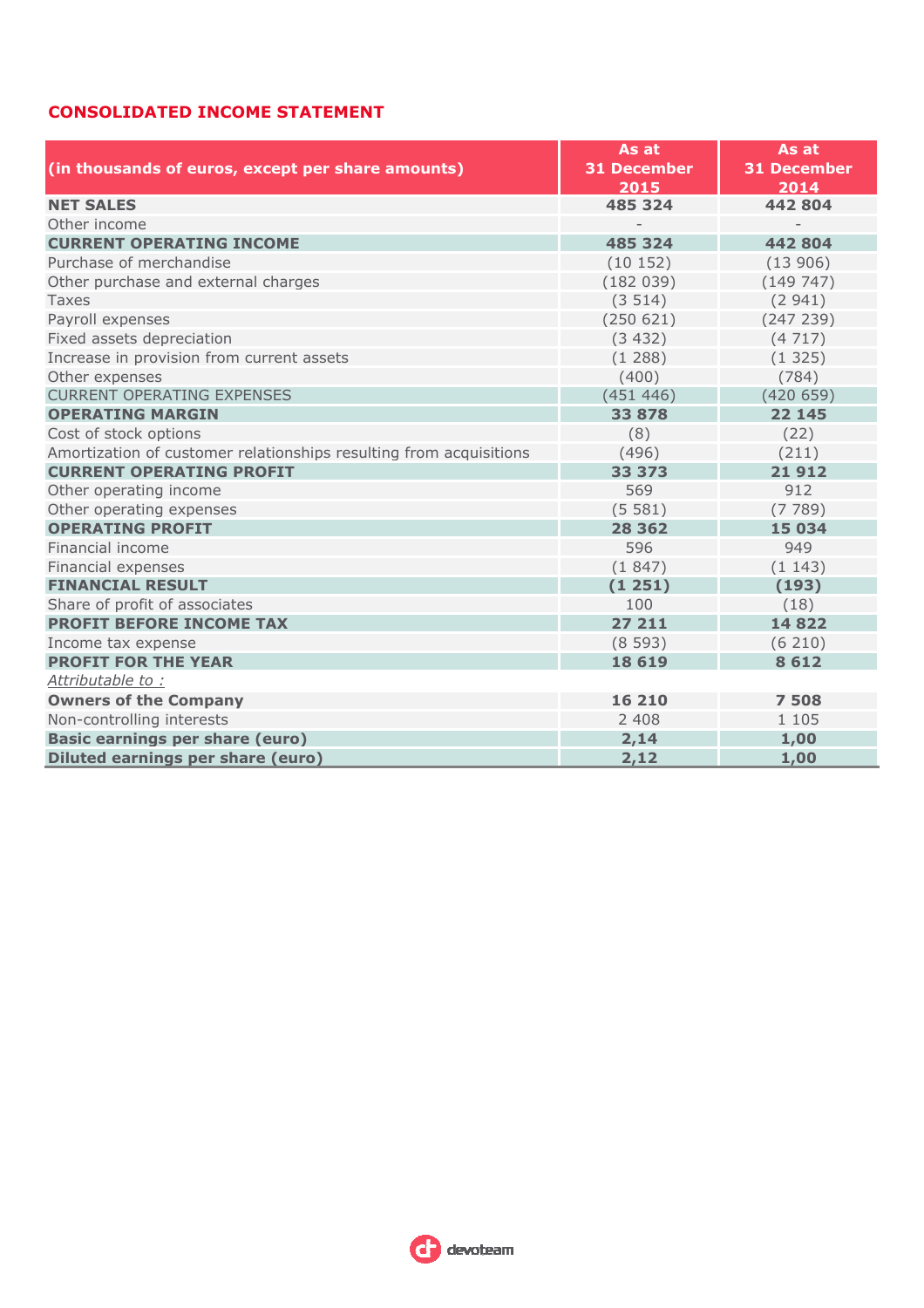## **CONSOLIDATED INCOME STATEMENT**

|                                                                    | As at              | As at              |  |  |
|--------------------------------------------------------------------|--------------------|--------------------|--|--|
| (in thousands of euros, except per share amounts)                  | <b>31 December</b> | <b>31 December</b> |  |  |
|                                                                    | 2015               | 2014               |  |  |
| <b>NET SALES</b>                                                   | 485 324            | 442 804            |  |  |
| Other income                                                       |                    |                    |  |  |
| <b>CURRENT OPERATING INCOME</b>                                    | 485 324            | 442804             |  |  |
| Purchase of merchandise                                            | (10152)            | (13906)            |  |  |
| Other purchase and external charges                                | (182039)           | (149747)           |  |  |
| Taxes                                                              | (3514)             | (2941)             |  |  |
| Payroll expenses                                                   | (250 621)          | (247 239)          |  |  |
| Fixed assets depreciation                                          | (3432)             | (4717)             |  |  |
| Increase in provision from current assets                          | (1288)             | (1325)             |  |  |
| Other expenses                                                     | (400)              | (784)              |  |  |
| <b>CURRENT OPERATING EXPENSES</b>                                  | (451446)           | (420659)           |  |  |
| <b>OPERATING MARGIN</b>                                            | 33 878             | 22 145             |  |  |
| Cost of stock options                                              | (8)                | (22)               |  |  |
| Amortization of customer relationships resulting from acquisitions | (496)              | (211)              |  |  |
| <b>CURRENT OPERATING PROFIT</b>                                    | 33 373             | 21912              |  |  |
| Other operating income                                             | 569                | 912                |  |  |
| Other operating expenses                                           | (5581)             | (7789)             |  |  |
| <b>OPERATING PROFIT</b>                                            | 28 3 6 2           | 15 034             |  |  |
| Financial income                                                   | 596                | 949                |  |  |
| Financial expenses                                                 | (1847)             | (1143)             |  |  |
| <b>FINANCIAL RESULT</b>                                            | (1251)             | (193)              |  |  |
| Share of profit of associates                                      | 100                | (18)               |  |  |
| <b>PROFIT BEFORE INCOME TAX</b>                                    | 27 211             | 14822              |  |  |
| Income tax expense                                                 | (8593)             | (6210)             |  |  |
| <b>PROFIT FOR THE YEAR</b>                                         | 18 6 19            | 8612               |  |  |
| Attributable to:                                                   |                    |                    |  |  |
| <b>Owners of the Company</b>                                       | 16 210             | 7508               |  |  |
| Non-controlling interests                                          | 2 4 0 8            | 1 1 0 5            |  |  |
| <b>Basic earnings per share (euro)</b>                             | 2,14               | 1,00               |  |  |
| <b>Diluted earnings per share (euro)</b>                           | 2,12               | 1,00               |  |  |

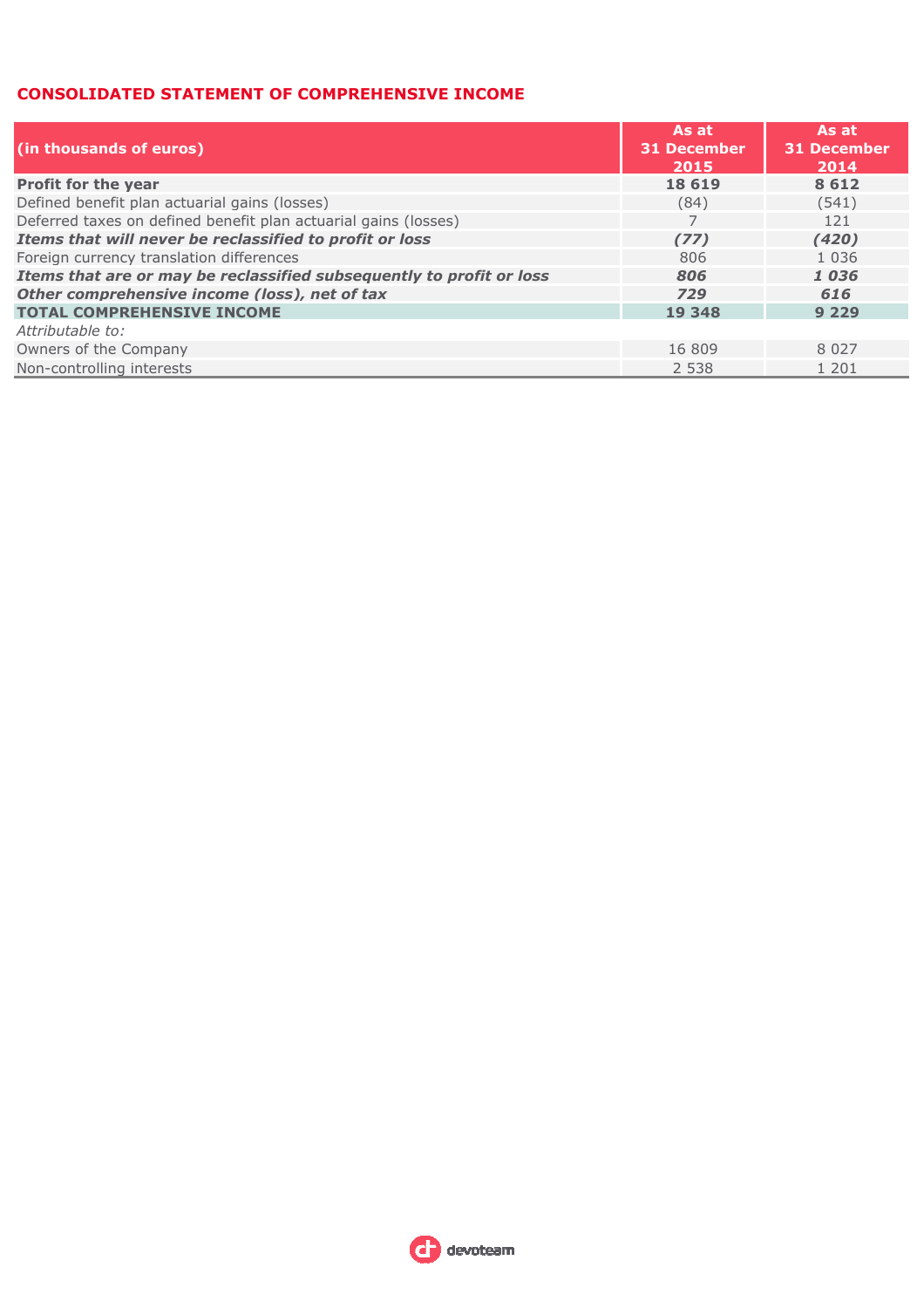#### **CONSOLIDATED STATEMENT OF COMPREHENSIVE INCOME**

| (in thousands of euros)                                              | As at<br><b>31 December</b><br>2015 | As at<br><b>31 December</b><br>2014 |
|----------------------------------------------------------------------|-------------------------------------|-------------------------------------|
| Profit for the year                                                  | 18 6 19                             | 8612                                |
| Defined benefit plan actuarial gains (losses)                        | (84)                                | (541)                               |
| Deferred taxes on defined benefit plan actuarial gains (losses)      |                                     | 121                                 |
| Items that will never be reclassified to profit or loss              | (77)                                | (420)                               |
| Foreign currency translation differences                             | 806                                 | 1 0 3 6                             |
| Items that are or may be reclassified subsequently to profit or loss | 806                                 | 1036                                |
| Other comprehensive income (loss), net of tax                        | 729                                 | 616                                 |
| <b>TOTAL COMPREHENSIVE INCOME</b>                                    | 19 348                              | 9 2 2 9                             |
| Attributable to:                                                     |                                     |                                     |
| Owners of the Company                                                | 16 809                              | 8 0 2 7                             |
| Non-controlling interests                                            | 2 5 3 8                             | 1 201                               |

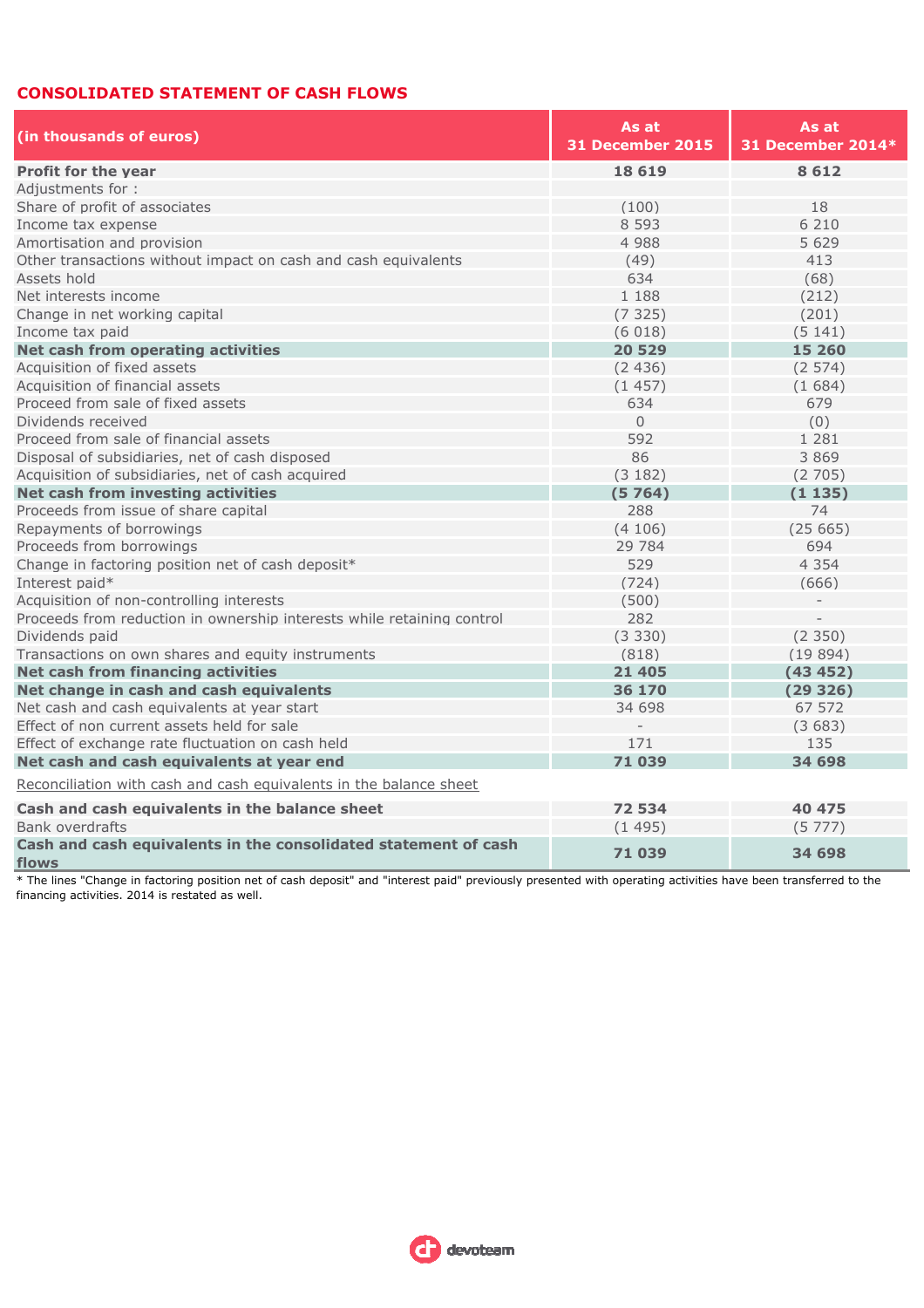#### **CONSOLIDATED STATEMENT OF CASH FLOWS**

| (in thousands of euros)                                                  | As at<br>31 December 2015 | As at<br>31 December 2014* |  |  |
|--------------------------------------------------------------------------|---------------------------|----------------------------|--|--|
| <b>Profit for the year</b>                                               | 18 6 19                   | 8612                       |  |  |
| Adjustments for:                                                         |                           |                            |  |  |
| Share of profit of associates                                            | (100)                     | 18                         |  |  |
| Income tax expense                                                       | 8 5 9 3                   | 6 2 1 0                    |  |  |
| Amortisation and provision                                               | 4 9 8 8                   | 5 6 2 9                    |  |  |
| Other transactions without impact on cash and cash equivalents           | (49)                      | 413                        |  |  |
| Assets hold                                                              | 634                       | (68)                       |  |  |
| Net interests income                                                     | 1 188                     | (212)                      |  |  |
| Change in net working capital                                            | (7325)                    | (201)                      |  |  |
| Income tax paid                                                          | (6018)                    | (5141)                     |  |  |
| Net cash from operating activities                                       | 20 529                    | 15 260                     |  |  |
| Acquisition of fixed assets                                              | (2436)                    | (2574)                     |  |  |
| Acquisition of financial assets                                          | (1457)                    | (1684)                     |  |  |
| Proceed from sale of fixed assets                                        | 634                       | 679                        |  |  |
| Dividends received                                                       | $\Omega$                  | (0)                        |  |  |
| Proceed from sale of financial assets                                    | 592                       | 1 2 8 1                    |  |  |
| Disposal of subsidiaries, net of cash disposed                           | 86                        | 3869                       |  |  |
| Acquisition of subsidiaries, net of cash acquired                        | (3 182)                   | (2705)                     |  |  |
| Net cash from investing activities                                       | (5764)                    | (1135)                     |  |  |
| Proceeds from issue of share capital                                     | 288                       | 74                         |  |  |
| Repayments of borrowings                                                 | (4106)                    | (25665)                    |  |  |
| Proceeds from borrowings                                                 | 29 7 84                   | 694                        |  |  |
| Change in factoring position net of cash deposit*                        | 529                       | 4 3 5 4                    |  |  |
| Interest paid*                                                           | (724)                     | (666)                      |  |  |
| Acquisition of non-controlling interests                                 | (500)                     |                            |  |  |
| Proceeds from reduction in ownership interests while retaining control   | 282                       |                            |  |  |
| Dividends paid                                                           | (3330)                    | (2350)                     |  |  |
| Transactions on own shares and equity instruments                        | (818)                     | (19894)                    |  |  |
| Net cash from financing activities                                       | 21 4 0 5                  | (43 452)                   |  |  |
| Net change in cash and cash equivalents                                  | 36 170                    | (29326)                    |  |  |
| Net cash and cash equivalents at year start                              | 34 698                    | 67 572                     |  |  |
| Effect of non current assets held for sale                               |                           | (3683)                     |  |  |
| Effect of exchange rate fluctuation on cash held                         | 171                       | 135                        |  |  |
| Net cash and cash equivalents at year end                                | 71 039                    | 34 698                     |  |  |
| Reconciliation with cash and cash equivalents in the balance sheet       |                           |                            |  |  |
| Cash and cash equivalents in the balance sheet                           | 72 534                    | 40 475                     |  |  |
| <b>Bank overdrafts</b>                                                   | (1495)                    | (5777)                     |  |  |
| Cash and cash equivalents in the consolidated statement of cash<br>flows | 71 039                    | 34 698                     |  |  |

\* The lines "Change in factoring position net of cash deposit" and "interest paid" previously presented with operating activities have been transferred to the financing activities. 2014 is restated as well.